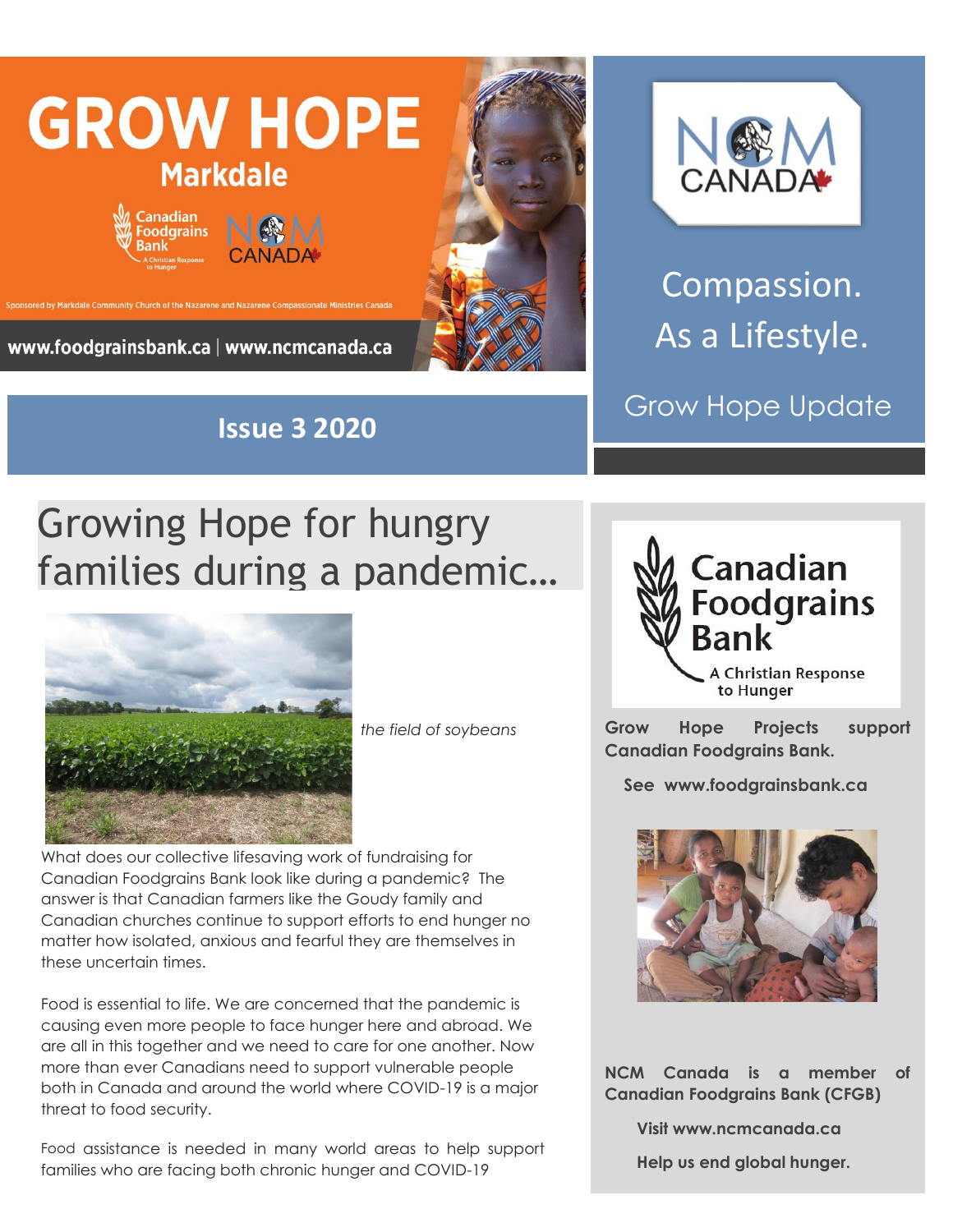





Compassion. As a Lifestyle.

Grow Hope Update

## Growing Hope for hungry families during a pandemic…



*the field of soybeans* 

What does our collective lifesaving work of fundraising for Canadian Foodgrains Bank look like during a pandemic? The answer is that Canadian farmers like the Goudy family and Canadian churches continue to support efforts to end hunger no matter how isolated, anxious and fearful they are themselves in these uncertain times.

Food is essential to life. We are concerned that the pandemic is causing even more people to face hunger here and abroad. We are all in this together and we need to care for one another. Now more than ever Canadians need to support vulnerable people both in Canada and around the world where COVID-19 is a major threat to food security.

Food assistance is needed in many world areas to help support families who are facing both chronic hunger and COVID-19



**Grow Hope Projects support Canadian Foodgrains Bank.** 

 **See www.foodgrainsbank.ca**



**NCM Canada is a member of Canadian Foodgrains Bank (CFGB)**

 **Visit www.ncmcanada.ca**

 **Help us end global hunger.**